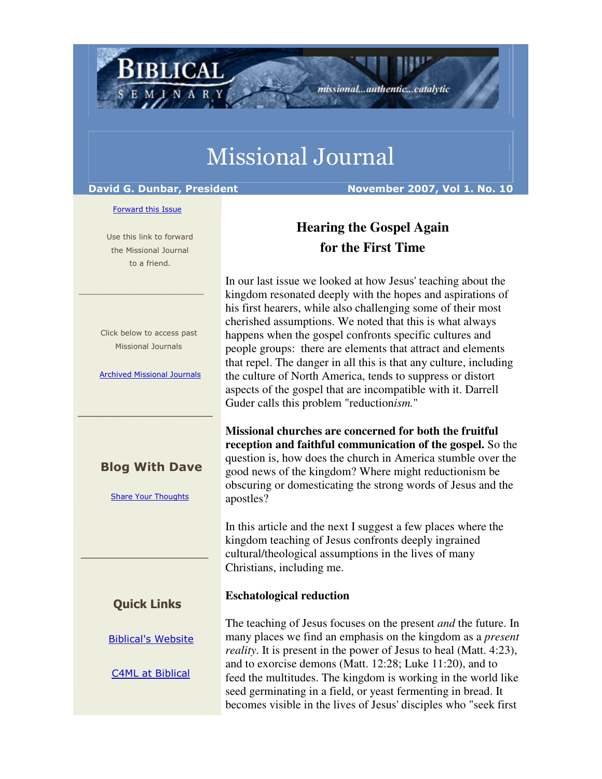# Missional Journal

BIBLICAL

David G. Dunbar, President November 2007, Vol 1. No. 10

#### Forward this Issue

 Use this link to forward the Missional Journal to a friend.

 $\frac{1}{2}$  , and the set of the set of the set of the set of the set of the set of the set of the set of the set of the set of the set of the set of the set of the set of the set of the set of the set of the set of the set

 Click below to access past Missional Journals

Archived Missional Journals

 $\_$  , and the set of the set of the set of the set of the set of the set of the set of the set of the set of the set of the set of the set of the set of the set of the set of the set of the set of the set of the set of th

### Blog With Dave

Share Your Thoughts

#### Quick Links

\_\_\_\_\_\_\_\_\_\_\_\_\_\_\_\_\_

Biblical's Website

C4ML at Biblical

## **Hearing the Gospel Again for the First Time**

missional...authentic...catalytic

In our last issue we looked at how Jesus' teaching about the kingdom resonated deeply with the hopes and aspirations of his first hearers, while also challenging some of their most cherished assumptions. We noted that this is what always happens when the gospel confronts specific cultures and people groups: there are elements that attract and elements that repel. The danger in all this is that any culture, including the culture of North America, tends to suppress or distort aspects of the gospel that are incompatible with it. Darrell Guder calls this problem "reduction*ism.*"

**Missional churches are concerned for both the fruitful reception and faithful communication of the gospel.** So the question is, how does the church in America stumble over the good news of the kingdom? Where might reductionism be obscuring or domesticating the strong words of Jesus and the apostles?

In this article and the next I suggest a few places where the kingdom teaching of Jesus confronts deeply ingrained cultural/theological assumptions in the lives of many Christians, including me.

#### **Eschatological reduction**

The teaching of Jesus focuses on the present *and* the future. In many places we find an emphasis on the kingdom as a *present reality*. It is present in the power of Jesus to heal (Matt. 4:23), and to exorcise demons (Matt. 12:28; Luke 11:20), and to feed the multitudes. The kingdom is working in the world like seed germinating in a field, or yeast fermenting in bread. It becomes visible in the lives of Jesus' disciples who "seek first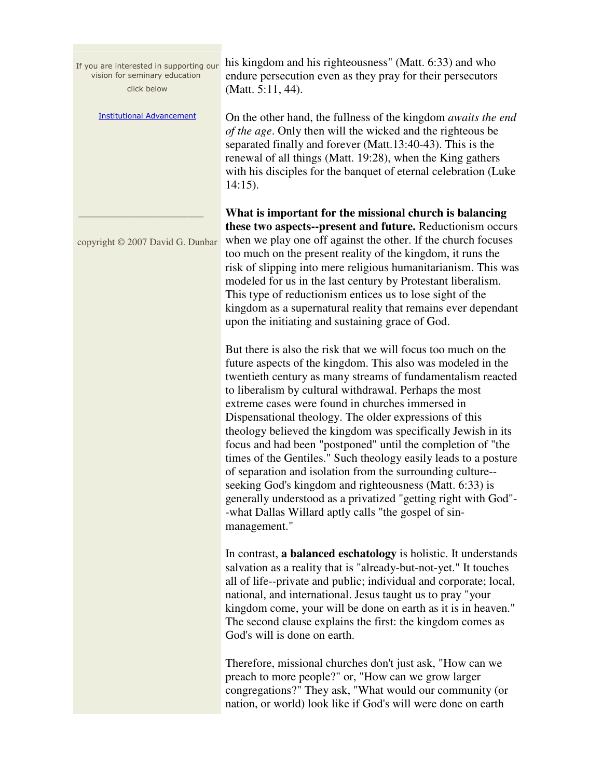If you are interested in supporting our vision for seminary education click below

Institutional Advancement

 $\frac{1}{2}$  ,  $\frac{1}{2}$  ,  $\frac{1}{2}$  ,  $\frac{1}{2}$  ,  $\frac{1}{2}$  ,  $\frac{1}{2}$  ,  $\frac{1}{2}$  ,  $\frac{1}{2}$  ,  $\frac{1}{2}$  ,  $\frac{1}{2}$  ,  $\frac{1}{2}$  ,  $\frac{1}{2}$  ,  $\frac{1}{2}$  ,  $\frac{1}{2}$  ,  $\frac{1}{2}$  ,  $\frac{1}{2}$  ,  $\frac{1}{2}$  ,  $\frac{1}{2}$  ,  $\frac{1$ 

copyright © 2007 David G. Dunbar

his kingdom and his righteousness" (Matt. 6:33) and who endure persecution even as they pray for their persecutors (Matt. 5:11, 44).

On the other hand, the fullness of the kingdom *awaits the end of the age*. Only then will the wicked and the righteous be separated finally and forever (Matt.13:40-43). This is the renewal of all things (Matt. 19:28), when the King gathers with his disciples for the banquet of eternal celebration (Luke 14:15).

**What is important for the missional church is balancing these two aspects--present and future.** Reductionism occurs when we play one off against the other. If the church focuses too much on the present reality of the kingdom, it runs the risk of slipping into mere religious humanitarianism. This was modeled for us in the last century by Protestant liberalism. This type of reductionism entices us to lose sight of the kingdom as a supernatural reality that remains ever dependant upon the initiating and sustaining grace of God.

But there is also the risk that we will focus too much on the future aspects of the kingdom. This also was modeled in the twentieth century as many streams of fundamentalism reacted to liberalism by cultural withdrawal. Perhaps the most extreme cases were found in churches immersed in Dispensational theology. The older expressions of this theology believed the kingdom was specifically Jewish in its focus and had been "postponed" until the completion of "the times of the Gentiles." Such theology easily leads to a posture of separation and isolation from the surrounding culture- seeking God's kingdom and righteousness (Matt. 6:33) is generally understood as a privatized "getting right with God"- -what Dallas Willard aptly calls "the gospel of sinmanagement."

In contrast, **a balanced eschatology** is holistic. It understands salvation as a reality that is "already-but-not-yet." It touches all of life--private and public; individual and corporate; local, national, and international. Jesus taught us to pray "your kingdom come, your will be done on earth as it is in heaven." The second clause explains the first: the kingdom comes as God's will is done on earth.

Therefore, missional churches don't just ask, "How can we preach to more people?" or, "How can we grow larger congregations?" They ask, "What would our community (or nation, or world) look like if God's will were done on earth